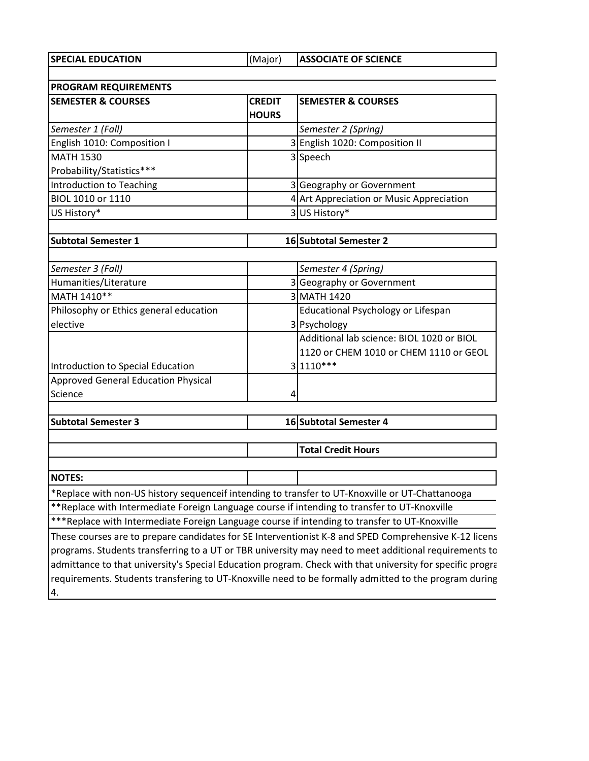**SPECIAL EDUCATION** (Major) **ASSOCIATE OF SCIENCE** 

| <b>PROGRAM REQUIREMENTS</b>                                                                     |               |                                                                                                           |  |
|-------------------------------------------------------------------------------------------------|---------------|-----------------------------------------------------------------------------------------------------------|--|
| <b>SEMESTER &amp; COURSES</b>                                                                   | <b>CREDIT</b> | <b>SEMESTER &amp; COURSES</b>                                                                             |  |
|                                                                                                 | <b>HOURS</b>  |                                                                                                           |  |
| Semester 1 (Fall)                                                                               |               | Semester 2 (Spring)                                                                                       |  |
| English 1010: Composition I                                                                     |               | 3 English 1020: Composition II                                                                            |  |
| <b>MATH 1530</b>                                                                                |               | 3 Speech                                                                                                  |  |
| Probability/Statistics***                                                                       |               |                                                                                                           |  |
| Introduction to Teaching                                                                        |               | 3 Geography or Government                                                                                 |  |
| BIOL 1010 or 1110                                                                               |               | 4 Art Appreciation or Music Appreciation                                                                  |  |
| US History*                                                                                     |               | 3 US History*                                                                                             |  |
| <b>Subtotal Semester 1</b>                                                                      |               | 16 Subtotal Semester 2                                                                                    |  |
|                                                                                                 |               |                                                                                                           |  |
| Semester 3 (Fall)                                                                               |               | Semester 4 (Spring)                                                                                       |  |
| Humanities/Literature                                                                           |               | 3 Geography or Government                                                                                 |  |
| MATH 1410**                                                                                     |               | 3 MATH 1420                                                                                               |  |
| Philosophy or Ethics general education                                                          |               | Educational Psychology or Lifespan                                                                        |  |
| elective                                                                                        |               | 3 Psychology                                                                                              |  |
|                                                                                                 |               | Additional lab science: BIOL 1020 or BIOL                                                                 |  |
|                                                                                                 |               | 1120 or CHEM 1010 or CHEM 1110 or GEOL                                                                    |  |
| Introduction to Special Education                                                               |               | $3 1110***$                                                                                               |  |
| <b>Approved General Education Physical</b>                                                      |               |                                                                                                           |  |
| Science                                                                                         |               |                                                                                                           |  |
|                                                                                                 |               |                                                                                                           |  |
| <b>Subtotal Semester 3</b>                                                                      |               | 16 Subtotal Semester 4                                                                                    |  |
|                                                                                                 |               | <b>Total Credit Hours</b>                                                                                 |  |
|                                                                                                 |               |                                                                                                           |  |
| <b>NOTES:</b>                                                                                   |               |                                                                                                           |  |
| *Replace with non-US history sequenceif intending to transfer to UT-Knoxville or UT-Chattanooga |               |                                                                                                           |  |
| **Replace with Intermediate Foreign Language course if intending to transfer to UT-Knoxville    |               |                                                                                                           |  |
| ***Replace with Intermediate Foreign Language course if intending to transfer to UT-Knoxville   |               |                                                                                                           |  |
|                                                                                                 |               | These courses are to prepare candidates for SE Interventionist K-8 and SPED Comprehensive K-12 licens     |  |
|                                                                                                 |               | programs. Students transferring to a UT or TBR university may need to meet additional requirements to     |  |
|                                                                                                 |               | admittance to that university's Special Education program. Check with that university for specific progra |  |
|                                                                                                 |               | requirements. Students transfering to UT-Knoxville need to be formally admitted to the program during     |  |
| 4.                                                                                              |               |                                                                                                           |  |
|                                                                                                 |               |                                                                                                           |  |